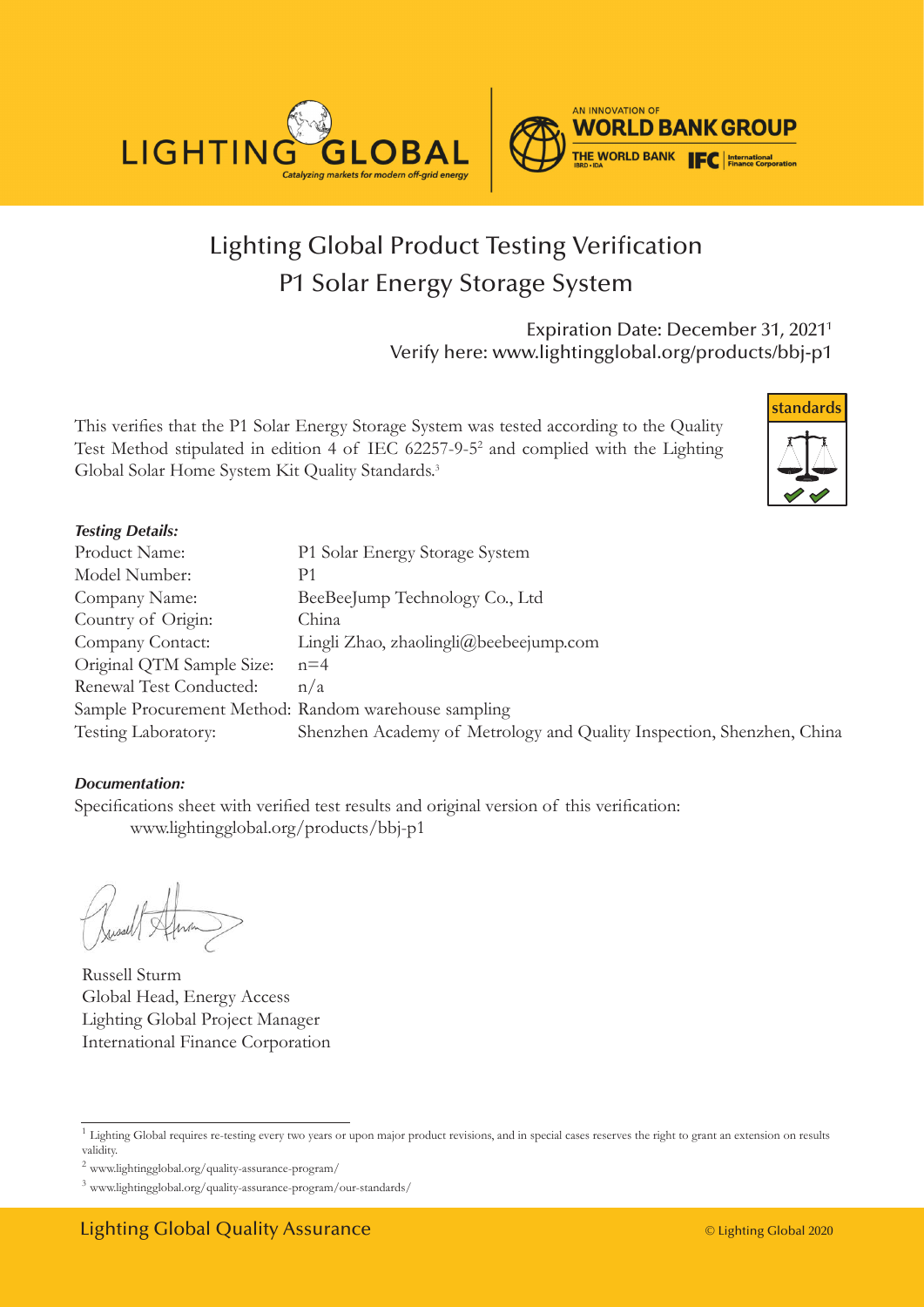



# Lighting Global Product Testing Verification P1 Solar Energy Storage System

Expiration Date: December 31, 20211 Verify here: www.lightingglobal.org/products/bbj-p1

This verifies that the P1 Solar Energy Storage System was tested according to the Quality Test Method stipulated in edition 4 of IEC 62257-9-52 and complied with the Lighting Global Solar Home System Kit Quality Standards.<sup>3</sup>



#### *Testing Details:*

| Product Name:                                        | P1 Solar Energy Storage System                                        |
|------------------------------------------------------|-----------------------------------------------------------------------|
| Model Number:                                        | P1                                                                    |
| Company Name:                                        | BeeBeeJump Technology Co., Ltd                                        |
| Country of Origin:                                   | China                                                                 |
| Company Contact:                                     | Lingli Zhao, zhaolingli@beebeejump.com                                |
| Original QTM Sample Size:                            | $n=4$                                                                 |
| Renewal Test Conducted:                              | n/a                                                                   |
| Sample Procurement Method: Random warehouse sampling |                                                                       |
| Testing Laboratory:                                  | Shenzhen Academy of Metrology and Quality Inspection, Shenzhen, China |

#### *Documentation:*

Specifications sheet with verified test results and original version of this verification: www.lightingglobal.org/products/bbj-p1

Russell Sturm Global Head, Energy Access Lighting Global Project Manager International Finance Corporation

<sup>&</sup>lt;sup>1</sup> Lighting Global requires re-testing every two years or upon major product revisions, and in special cases reserves the right to grant an extension on results validity.

 $^2$ www.lightingglobal.org/quality-assurance-program/  $\,$ 

<sup>3</sup> www.lightingglobal.org/quality-assurance-program/our-standards/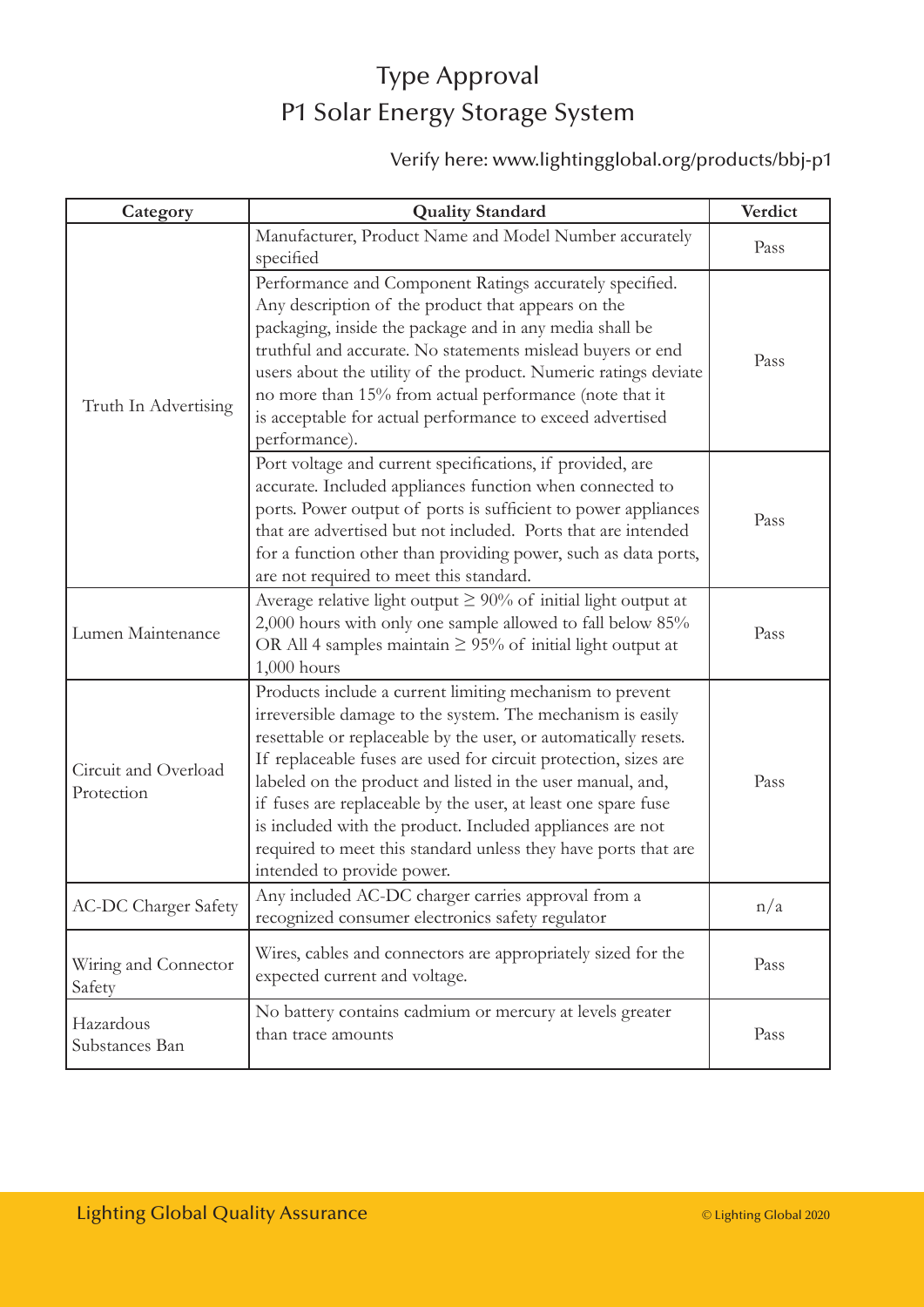## Type Approval P1 Solar Energy Storage System

### Verify here: www.lightingglobal.org/products/bbj-p1

| Category                           | <b>Quality Standard</b>                                                                                                                                                                                                                                                                                                                                                                                                                                                                                                                                  | Verdict |
|------------------------------------|----------------------------------------------------------------------------------------------------------------------------------------------------------------------------------------------------------------------------------------------------------------------------------------------------------------------------------------------------------------------------------------------------------------------------------------------------------------------------------------------------------------------------------------------------------|---------|
| Truth In Advertising               | Manufacturer, Product Name and Model Number accurately<br>specified                                                                                                                                                                                                                                                                                                                                                                                                                                                                                      | Pass    |
|                                    | Performance and Component Ratings accurately specified.<br>Any description of the product that appears on the<br>packaging, inside the package and in any media shall be<br>truthful and accurate. No statements mislead buyers or end<br>users about the utility of the product. Numeric ratings deviate<br>no more than 15% from actual performance (note that it<br>is acceptable for actual performance to exceed advertised<br>performance).                                                                                                        | Pass    |
|                                    | Port voltage and current specifications, if provided, are<br>accurate. Included appliances function when connected to<br>ports. Power output of ports is sufficient to power appliances<br>that are advertised but not included. Ports that are intended<br>for a function other than providing power, such as data ports,<br>are not required to meet this standard.                                                                                                                                                                                    | Pass    |
| Lumen Maintenance                  | Average relative light output $\geq 90\%$ of initial light output at<br>2,000 hours with only one sample allowed to fall below 85%<br>OR All 4 samples maintain $\geq$ 95% of initial light output at<br>$1,000$ hours                                                                                                                                                                                                                                                                                                                                   | Pass    |
| Circuit and Overload<br>Protection | Products include a current limiting mechanism to prevent<br>irreversible damage to the system. The mechanism is easily<br>resettable or replaceable by the user, or automatically resets.<br>If replaceable fuses are used for circuit protection, sizes are<br>labeled on the product and listed in the user manual, and,<br>if fuses are replaceable by the user, at least one spare fuse<br>is included with the product. Included appliances are not<br>required to meet this standard unless they have ports that are<br>intended to provide power. | Pass    |
| <b>AC-DC Charger Safety</b>        | Any included AC-DC charger carries approval from a<br>recognized consumer electronics safety regulator                                                                                                                                                                                                                                                                                                                                                                                                                                                   | n/a     |
| Wiring and Connector<br>Safety     | Wires, cables and connectors are appropriately sized for the<br>expected current and voltage.                                                                                                                                                                                                                                                                                                                                                                                                                                                            | Pass    |
| Hazardous<br>Substances Ban        | No battery contains cadmium or mercury at levels greater<br>than trace amounts                                                                                                                                                                                                                                                                                                                                                                                                                                                                           | Pass    |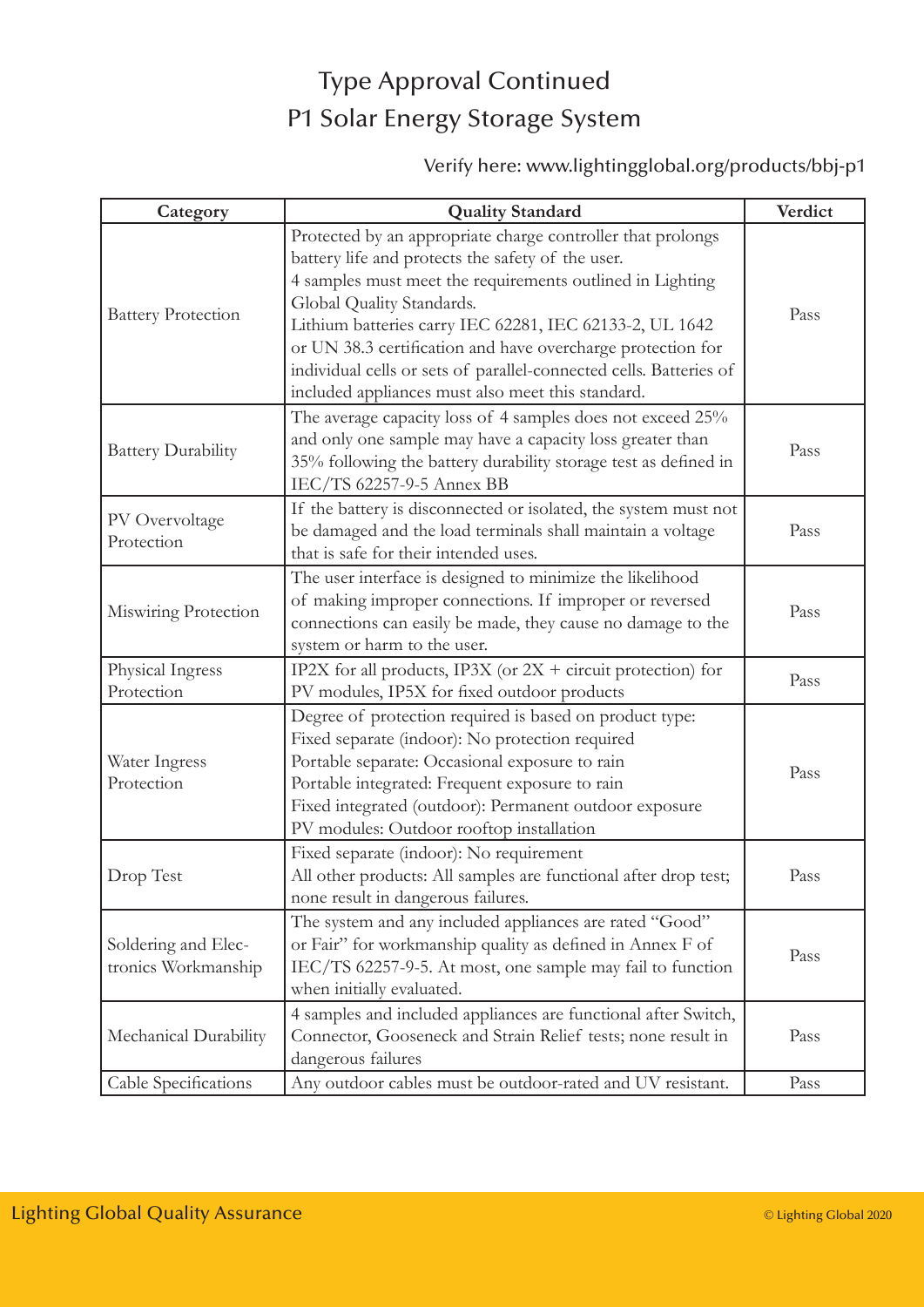### Type Approval Continued P1 Solar Energy Storage System

### Verify here: www.lightingglobal.org/products/bbj-p1

| Category                                   | <b>Quality Standard</b>                                                                                                                                                                                                                                                                                                                                                                                                                                         | Verdict |
|--------------------------------------------|-----------------------------------------------------------------------------------------------------------------------------------------------------------------------------------------------------------------------------------------------------------------------------------------------------------------------------------------------------------------------------------------------------------------------------------------------------------------|---------|
| <b>Battery Protection</b>                  | Protected by an appropriate charge controller that prolongs<br>battery life and protects the safety of the user.<br>4 samples must meet the requirements outlined in Lighting<br>Global Quality Standards.<br>Lithium batteries carry IEC 62281, IEC 62133-2, UL 1642<br>or UN 38.3 certification and have overcharge protection for<br>individual cells or sets of parallel-connected cells. Batteries of<br>included appliances must also meet this standard. | Pass    |
| <b>Battery Durability</b>                  | The average capacity loss of 4 samples does not exceed 25%<br>and only one sample may have a capacity loss greater than<br>35% following the battery durability storage test as defined in<br>IEC/TS 62257-9-5 Annex BB                                                                                                                                                                                                                                         | Pass    |
| PV Overvoltage<br>Protection               | If the battery is disconnected or isolated, the system must not<br>be damaged and the load terminals shall maintain a voltage<br>that is safe for their intended uses.                                                                                                                                                                                                                                                                                          | Pass    |
| Miswiring Protection                       | The user interface is designed to minimize the likelihood<br>of making improper connections. If improper or reversed<br>connections can easily be made, they cause no damage to the<br>system or harm to the user.                                                                                                                                                                                                                                              | Pass    |
| Physical Ingress<br>Protection             | IP2X for all products, IP3X (or $2X +$ circuit protection) for<br>PV modules, IP5X for fixed outdoor products                                                                                                                                                                                                                                                                                                                                                   | Pass    |
| Water Ingress<br>Protection                | Degree of protection required is based on product type:<br>Fixed separate (indoor): No protection required<br>Portable separate: Occasional exposure to rain<br>Portable integrated: Frequent exposure to rain<br>Fixed integrated (outdoor): Permanent outdoor exposure<br>PV modules: Outdoor rooftop installation                                                                                                                                            | Pass    |
| Drop Test                                  | Fixed separate (indoor): No requirement<br>All other products: All samples are functional after drop test;<br>none result in dangerous failures.                                                                                                                                                                                                                                                                                                                | Pass    |
| Soldering and Elec-<br>tronics Workmanship | The system and any included appliances are rated "Good"<br>or Fair" for workmanship quality as defined in Annex F of<br>IEC/TS 62257-9-5. At most, one sample may fail to function<br>when initially evaluated.                                                                                                                                                                                                                                                 | Pass    |
| Mechanical Durability                      | 4 samples and included appliances are functional after Switch,<br>Connector, Gooseneck and Strain Relief tests; none result in<br>dangerous failures                                                                                                                                                                                                                                                                                                            | Pass    |
| Cable Specifications                       | Any outdoor cables must be outdoor-rated and UV resistant.                                                                                                                                                                                                                                                                                                                                                                                                      | Pass    |